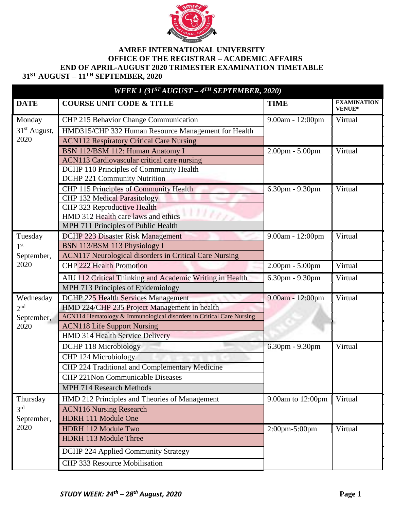

## **AMREF INTERNATIONAL UNIVERSITY OFFICE OF THE REGISTRAR – ACADEMIC AFFAIRS END OF APRIL-AUGUST 2020 TRIMESTER EXAMINATION TIMETABLE 31ST AUGUST – 11TH SEPTEMBER, 2020**

| WEEK 1 $(31^{ST}AUGUST - 4^{TH}SEPTEMBER, 2020)$ |                                                                      |                   |                                     |  |  |
|--------------------------------------------------|----------------------------------------------------------------------|-------------------|-------------------------------------|--|--|
| <b>DATE</b>                                      | <b>COURSE UNIT CODE &amp; TITLE</b>                                  | <b>TIME</b>       | <b>EXAMINATION</b><br><b>VENUE*</b> |  |  |
| Monday                                           | CHP 215 Behavior Change Communication                                | 9.00am - 12:00pm  | Virtual                             |  |  |
| 31 <sup>st</sup> August,                         | HMD315/CHP 332 Human Resource Management for Health                  |                   |                                     |  |  |
| 2020                                             | <b>ACN112 Respiratory Critical Care Nursing</b>                      |                   |                                     |  |  |
|                                                  | BSN 112/BSM 112: Human Anatomy I                                     | $2.00pm - 5.00pm$ | Virtual                             |  |  |
|                                                  | <b>ACN113 Cardiovascular critical care nursing</b>                   |                   |                                     |  |  |
|                                                  | DCHP 110 Principles of Community Health                              |                   |                                     |  |  |
|                                                  | <b>DCHP 221 Community Nutrition</b>                                  |                   |                                     |  |  |
|                                                  | <b>CHP 115 Principles of Community Health</b>                        | 6.30pm - 9.30pm   | Virtual                             |  |  |
|                                                  | <b>CHP 132 Medical Parasitology</b>                                  |                   |                                     |  |  |
|                                                  | CHP 323 Reproductive Health                                          |                   |                                     |  |  |
|                                                  | HMD 312 Health care laws and ethics                                  |                   |                                     |  |  |
|                                                  | MPH 711 Principles of Public Health                                  |                   |                                     |  |  |
| Tuesday                                          | <b>DCHP 223 Disaster Risk Management</b>                             | 9.00am - 12:00pm  | Virtual                             |  |  |
| 1 <sup>st</sup>                                  | BSN 113/BSM 113 Physiology I                                         |                   |                                     |  |  |
| September,                                       | ACN117 Neurological disorders in Critical Care Nursing               |                   |                                     |  |  |
| 2020                                             | <b>CHP 222 Health Promotion</b>                                      | $2.00pm - 5.00pm$ | Virtual                             |  |  |
|                                                  | AIU 112 Critical Thinking and Academic Writing in Health             | 6.30pm - 9.30pm   | Virtual                             |  |  |
|                                                  | MPH 713 Principles of Epidemiology                                   |                   |                                     |  |  |
| Wednesday                                        | <b>DCHP 225 Health Services Management</b>                           | 9.00am - 12:00pm  | Virtual                             |  |  |
| 2 <sup>nd</sup>                                  | HMD 224/CHP 235 Project Management in health                         |                   |                                     |  |  |
| September,                                       | ACN114 Hematology & Immunological disorders in Critical Care Nursing |                   |                                     |  |  |
| 2020                                             | <b>ACN118 Life Support Nursing</b>                                   |                   |                                     |  |  |
|                                                  | <b>HMD 314 Health Service Delivery</b>                               |                   |                                     |  |  |
|                                                  | DCHP 118 Microbiology                                                | 6.30pm - 9.30pm   | Virtual                             |  |  |
|                                                  | CHP 124 Microbiology                                                 |                   |                                     |  |  |
|                                                  | CHP 224 Traditional and Complementary Medicine                       |                   |                                     |  |  |
|                                                  | <b>CHP 221Non Communicable Diseases</b>                              |                   |                                     |  |  |
|                                                  | MPH 714 Research Methods                                             |                   |                                     |  |  |
| Thursday                                         | HMD 212 Principles and Theories of Management                        | 9.00am to 12:00pm | Virtual                             |  |  |
| 3 <sup>rd</sup>                                  | <b>ACN116 Nursing Research</b>                                       |                   |                                     |  |  |
| September,                                       | HDRH 111 Module One                                                  |                   |                                     |  |  |
| 2020                                             | HDRH 112 Module Two                                                  | $2:00$ pm-5:00pm  | Virtual                             |  |  |
|                                                  | <b>HDRH 113 Module Three</b>                                         |                   |                                     |  |  |
|                                                  | <b>DCHP 224 Applied Community Strategy</b>                           |                   |                                     |  |  |
|                                                  | CHP 333 Resource Mobilisation                                        |                   |                                     |  |  |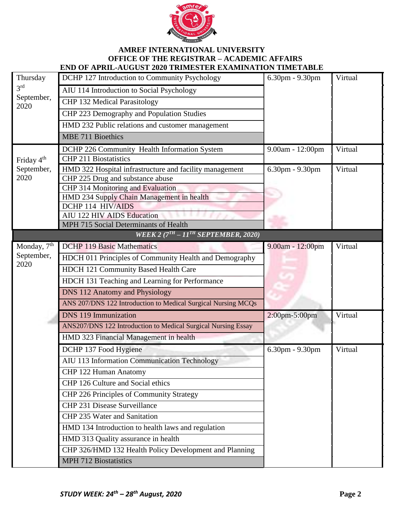

## **AMREF INTERNATIONAL UNIVERSITY OFFICE OF THE REGISTRAR – ACADEMIC AFFAIRS END OF APRIL-AUGUST 2020 TRIMESTER EXAMINATION TIMETABLE**

| Thursday<br>3 <sup>rd</sup><br>September,<br>2020 | DCHP 127 Introduction to Community Psychology                  | $6.30$ pm - $9.30$ pm | Virtual |
|---------------------------------------------------|----------------------------------------------------------------|-----------------------|---------|
|                                                   | AIU 114 Introduction to Social Psychology                      |                       |         |
|                                                   | <b>CHP 132 Medical Parasitology</b>                            |                       |         |
|                                                   | CHP 223 Demography and Population Studies                      |                       |         |
|                                                   | HMD 232 Public relations and customer management               |                       |         |
|                                                   | <b>MBE 711 Bioethics</b>                                       |                       |         |
|                                                   | DCHP 226 Community Health Information System                   | 9.00am - 12:00pm      | Virtual |
| Friday 4 <sup>th</sup><br>September,              | <b>CHP 211 Biostatistics</b>                                   |                       |         |
|                                                   | HMD 322 Hospital infrastructure and facility management        | 6.30pm - 9.30pm       | Virtual |
| 2020                                              | CHP 225 Drug and substance abuse                               |                       |         |
|                                                   | <b>CHP 314 Monitoring and Evaluation</b>                       |                       |         |
|                                                   | HMD 234 Supply Chain Management in health<br>DCHP 114 HIV/AIDS |                       |         |
|                                                   | <b>AIU 122 HIV AIDS Education</b>                              |                       |         |
|                                                   | MPH 715 Social Determinants of Health                          |                       |         |
|                                                   | WEEK 2 $(7TH - 11TH$ SEPTEMBER, 2020)                          |                       |         |
| Monday, 7 <sup>th</sup>                           | <b>DCHP 119 Basic Mathematics</b>                              | 9.00am - 12:00pm      | Virtual |
| September,                                        | HDCH 011 Principles of Community Health and Demography         |                       |         |
| 2020                                              | HDCH 121 Community Based Health Care                           |                       |         |
|                                                   | HDCH 131 Teaching and Learning for Performance                 |                       |         |
|                                                   | <b>DNS 112 Anatomy and Physiology</b>                          |                       |         |
|                                                   | ANS 207/DNS 122 Introduction to Medical Surgical Nursing MCQs  |                       |         |
|                                                   | <b>DNS 119 Immunization</b>                                    | 2:00pm-5:00pm         | Virtual |
|                                                   | ANS207/DNS 122 Introduction to Medical Surgical Nursing Essay  |                       |         |
|                                                   | HMD 323 Financial Management in health                         |                       |         |
|                                                   | DCHP 137 Food Hygiene                                          | 6.30pm - 9.30pm       | Virtual |
|                                                   | AIU 113 Information Communication Technology                   |                       |         |
|                                                   | CHP 122 Human Anatomy                                          |                       |         |
|                                                   | CHP 126 Culture and Social ethics                              |                       |         |
|                                                   | CHP 226 Principles of Community Strategy                       |                       |         |
|                                                   | CHP 231 Disease Surveillance                                   |                       |         |
|                                                   | CHP 235 Water and Sanitation                                   |                       |         |
|                                                   | HMD 134 Introduction to health laws and regulation             |                       |         |
|                                                   | HMD 313 Quality assurance in health                            |                       |         |
|                                                   | CHP 326/HMD 132 Health Policy Development and Planning         |                       |         |
|                                                   | <b>MPH 712 Biostatistics</b>                                   |                       |         |